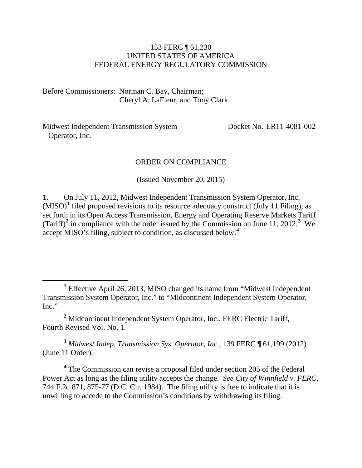#### 153 FERC ¶ 61,230 UNITED STATES OF AMERICA FEDERAL ENERGY REGULATORY COMMISSION

Before Commissioners: Norman C. Bay, Chairman; Cheryl A. LaFleur, and Tony Clark.

Midwest Independent Transmission System Operator, Inc.

Docket No. ER11-4081-002

#### ORDER ON COMPLIANCE

(Issued November 20, 2015)

1. On July 11, 2012, Midwest Independent Transmission System Operator, Inc.  $(MISO)<sup>1</sup>$  $(MISO)<sup>1</sup>$  $(MISO)<sup>1</sup>$  filed proposed revisions to its resource adequacy construct (July 11 Filing), as set forth in its Open Access Transmission, Energy and Operating Reserve Markets Tariff (Tariff)<sup>[2](#page-0-1)</sup> in compliance with the order issued by the Commission on June 11, 2012.<sup>[3](#page-0-2)</sup> We accept MISO's filing, subject to condition, as discussed below. **[4](#page-0-3)**

<span id="page-0-2"></span>**<sup>3</sup>** *Midwest Indep. Transmission Sys. Operator, Inc.*, 139 FERC ¶ 61,199 (2012) (June 11 Order).

<span id="page-0-3"></span>**<sup>4</sup>** The Commission can revise a proposal filed under section 205 of the Federal Power Act as long as the filing utility accepts the change. *See City of Winnfield v. FERC*, 744 F.2d 871, 875-77 (D.C. Cir. 1984). The filing utility is free to indicate that it is unwilling to accede to the Commission's conditions by withdrawing its filing.

<span id="page-0-0"></span>**<sup>1</sup>** Effective April 26, 2013, MISO changed its name from "Midwest Independent Transmission System Operator, Inc." to "Midcontinent Independent System Operator, Inc."

<span id="page-0-1"></span>**<sup>2</sup>** Midcontinent Independent System Operator, Inc., FERC Electric Tariff, Fourth Revised Vol. No. 1.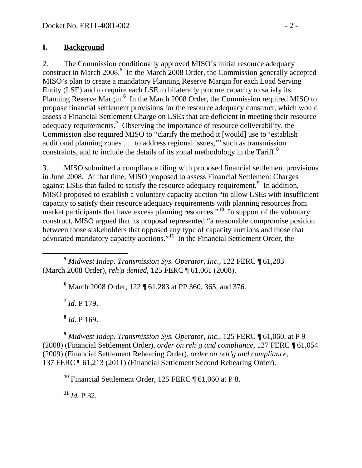#### **I. Background**

2. The Commission conditionally approved MISO's initial resource adequacy construct in March 2008.**[5](#page-1-0)** In the March 2008 Order, the Commission generally accepted MISO's plan to create a mandatory Planning Reserve Margin for each Load Serving Entity (LSE) and to require each LSE to bilaterally procure capacity to satisfy its Planning Reserve Margin.<sup>[6](#page-1-1)</sup> In the March 2008 Order, the Commission required MISO to propose financial settlement provisions for the resource adequacy construct, which would assess a Financial Settlement Charge on LSEs that are deficient in meeting their resource adequacy requirements.**[7](#page-1-2)** Observing the importance of resource deliverability, the Commission also required MISO to "clarify the method it [would] use to 'establish additional planning zones . . . to address regional issues,'" such as transmission constraints, and to include the details of its zonal methodology in the Tariff.**[8](#page-1-3)**

3. MISO submitted a compliance filing with proposed financial settlement provisions in June 2008. At that time, MISO proposed to assess Financial Settlement Charges against LSEs that failed to satisfy the resource adequacy requirement.**[9](#page-1-4)** In addition, MISO proposed to establish a voluntary capacity auction "to allow LSEs with insufficient capacity to satisfy their resource adequacy requirements with planning resources from market participants that have excess planning resources.<sup>"[10](#page-1-5)</sup> In support of the voluntary construct, MISO argued that its proposal represented "a reasonable compromise position between those stakeholders that opposed any type of capacity auctions and those that advocated mandatory capacity auctions."**[11](#page-1-6)** In the Financial Settlement Order, the

<span id="page-1-1"></span><span id="page-1-0"></span> **<sup>5</sup>** *Midwest Indep. Transmission Sys. Operator, Inc.*, 122 FERC ¶ 61,283 (March 2008 Order), *reh'g denied*, 125 FERC ¶ 61,061 (2008).

**<sup>6</sup>** March 2008 Order, 122 ¶ 61,283 at PP 360, 365, and 376.

**<sup>7</sup>** *Id.* P 179.

**<sup>8</sup>** *Id.* P 169.

<span id="page-1-5"></span><span id="page-1-4"></span><span id="page-1-3"></span><span id="page-1-2"></span>**<sup>9</sup>** *Midwest Indep. Transmission Sys. Operator, Inc.*, 125 FERC ¶ 61,060, at P 9 (2008) (Financial Settlement Order), *order on reh'g and compliance*, 127 FERC ¶ 61,054 (2009) (Financial Settlement Rehearing Order), *order on reh'g and compliance*, 137 FERC ¶ 61,213 (2011) (Financial Settlement Second Rehearing Order).

**<sup>10</sup>** Financial Settlement Order, 125 FERC ¶ 61,060 at P 8.

<span id="page-1-6"></span> $11$  *Id.* P 32.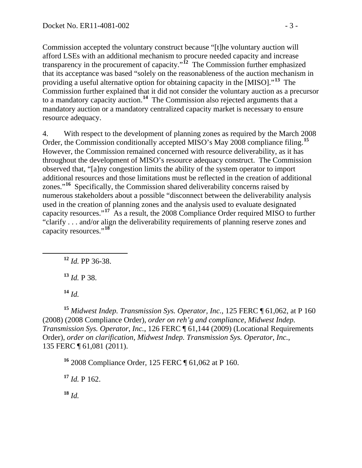Commission accepted the voluntary construct because "[t]he voluntary auction will afford LSEs with an additional mechanism to procure needed capacity and increase transparency in the procurement of capacity."**[12](#page-2-0)** The Commission further emphasized that its acceptance was based "solely on the reasonableness of the auction mechanism in providing a useful alternative option for obtaining capacity in the [MISO]."**[13](#page-2-1)** The Commission further explained that it did not consider the voluntary auction as a precursor to a mandatory capacity auction.**[14](#page-2-2)** The Commission also rejected arguments that a mandatory auction or a mandatory centralized capacity market is necessary to ensure resource adequacy.

4. With respect to the development of planning zones as required by the March 2008 Order, the Commission conditionally accepted MISO's May 2008 compliance filing.**[15](#page-2-3)** However, the Commission remained concerned with resource deliverability, as it has throughout the development of MISO's resource adequacy construct. The Commission observed that, "[a]ny congestion limits the ability of the system operator to import additional resources and those limitations must be reflected in the creation of additional zones."**[16](#page-2-4)** Specifically, the Commission shared deliverability concerns raised by numerous stakeholders about a possible "disconnect between the deliverability analysis used in the creation of planning zones and the analysis used to evaluate designated capacity resources."**[17](#page-2-5)** As a result, the 2008 Compliance Order required MISO to further "clarify . . . and/or align the deliverability requirements of planning reserve zones and capacity resources."**[18](#page-2-6)**

<span id="page-2-0"></span>**<sup>12</sup>** *Id.* PP 36-38.

**<sup>13</sup>** *Id.* P 38.

**<sup>14</sup>** *Id.*

<span id="page-2-3"></span><span id="page-2-2"></span><span id="page-2-1"></span>**<sup>15</sup>** *Midwest Indep. Transmission Sys. Operator, Inc.*, 125 FERC ¶ 61,062, at P 160 (2008) (2008 Compliance Order), *order on reh'g and compliance*, *Midwest Indep. Transmission Sys. Operator, Inc.*, 126 FERC ¶ 61,144 (2009) (Locational Requirements Order), *order on clarification*, *Midwest Indep. Transmission Sys. Operator, Inc.*, 135 FERC ¶ 61,081 (2011).

<span id="page-2-4"></span>**<sup>16</sup>** 2008 Compliance Order, 125 FERC ¶ 61,062 at P 160.

<span id="page-2-5"></span> $17$  *Id.* P 162.

<span id="page-2-6"></span>**<sup>18</sup>** *Id.*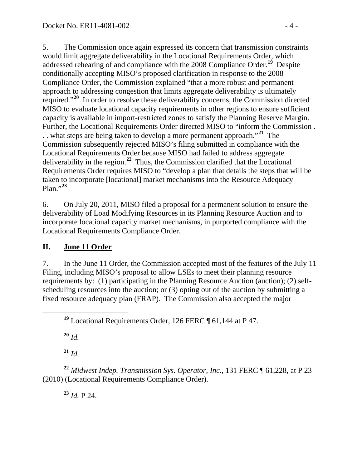5. The Commission once again expressed its concern that transmission constraints would limit aggregate deliverability in the Locational Requirements Order, which addressed rehearing of and compliance with the 2008 Compliance Order.**[19](#page-3-0)** Despite conditionally accepting MISO's proposed clarification in response to the 2008 Compliance Order, the Commission explained "that a more robust and permanent approach to addressing congestion that limits aggregate deliverability is ultimately required."**[20](#page-3-1)** In order to resolve these deliverability concerns, the Commission directed MISO to evaluate locational capacity requirements in other regions to ensure sufficient capacity is available in import-restricted zones to satisfy the Planning Reserve Margin. Further, the Locational Requirements Order directed MISO to "inform the Commission . . . what steps are being taken to develop a more permanent approach."**[21](#page-3-2)** The Commission subsequently rejected MISO's filing submitted in compliance with the Locational Requirements Order because MISO had failed to address aggregate deliverability in the region.**[22](#page-3-3)** Thus, the Commission clarified that the Locational Requirements Order requires MISO to "develop a plan that details the steps that will be taken to incorporate [locational] market mechanisms into the Resource Adequacy Plan."**[23](#page-3-4)**

6. On July 20, 2011, MISO filed a proposal for a permanent solution to ensure the deliverability of Load Modifying Resources in its Planning Resource Auction and to incorporate locational capacity market mechanisms, in purported compliance with the Locational Requirements Compliance Order.

## **II. June 11 Order**

7. In the June 11 Order, the Commission accepted most of the features of the July 11 Filing, including MISO's proposal to allow LSEs to meet their planning resource requirements by: (1) participating in the Planning Resource Auction (auction); (2) selfscheduling resources into the auction; or (3) opting out of the auction by submitting a fixed resource adequacy plan (FRAP). The Commission also accepted the major

**<sup>20</sup>** *Id.*

**<sup>21</sup>** *Id.*

<span id="page-3-4"></span><span id="page-3-3"></span><span id="page-3-2"></span><span id="page-3-1"></span>**<sup>22</sup>** *Midwest Indep. Transmission Sys. Operator, Inc.*, 131 FERC ¶ 61,228, at P 23 (2010) (Locational Requirements Compliance Order).

**<sup>23</sup>** *Id.* P 24.

<span id="page-3-0"></span>**<sup>19</sup>** Locational Requirements Order, 126 FERC ¶ 61,144 at P 47.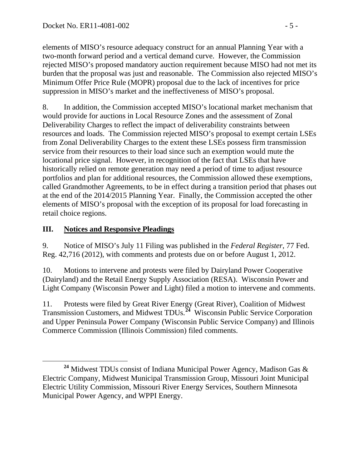elements of MISO's resource adequacy construct for an annual Planning Year with a two-month forward period and a vertical demand curve. However, the Commission rejected MISO's proposed mandatory auction requirement because MISO had not met its burden that the proposal was just and reasonable. The Commission also rejected MISO's Minimum Offer Price Rule (MOPR) proposal due to the lack of incentives for price suppression in MISO's market and the ineffectiveness of MISO's proposal.

8. In addition, the Commission accepted MISO's locational market mechanism that would provide for auctions in Local Resource Zones and the assessment of Zonal Deliverability Charges to reflect the impact of deliverability constraints between resources and loads. The Commission rejected MISO's proposal to exempt certain LSEs from Zonal Deliverability Charges to the extent these LSEs possess firm transmission service from their resources to their load since such an exemption would mute the locational price signal. However, in recognition of the fact that LSEs that have historically relied on remote generation may need a period of time to adjust resource portfolios and plan for additional resources, the Commission allowed these exemptions, called Grandmother Agreements, to be in effect during a transition period that phases out at the end of the 2014/2015 Planning Year. Finally, the Commission accepted the other elements of MISO's proposal with the exception of its proposal for load forecasting in retail choice regions.

### **III. Notices and Responsive Pleadings**

9. Notice of MISO's July 11 Filing was published in the *Federal Register*, 77 Fed. Reg. 42,716 (2012), with comments and protests due on or before August 1, 2012.

10. Motions to intervene and protests were filed by Dairyland Power Cooperative (Dairyland) and the Retail Energy Supply Association (RESA). Wisconsin Power and Light Company (Wisconsin Power and Light) filed a motion to intervene and comments.

11. Protests were filed by Great River Energy (Great River), Coalition of Midwest Transmission Customers, and Midwest TDUs.**[24](#page-4-0)** Wisconsin Public Service Corporation and Upper Peninsula Power Company (Wisconsin Public Service Company) and Illinois Commerce Commission (Illinois Commission) filed comments.

<span id="page-4-0"></span>**<sup>24</sup>** Midwest TDUs consist of Indiana Municipal Power Agency, Madison Gas & Electric Company, Midwest Municipal Transmission Group, Missouri Joint Municipal Electric Utility Commission, Missouri River Energy Services, Southern Minnesota Municipal Power Agency, and WPPI Energy.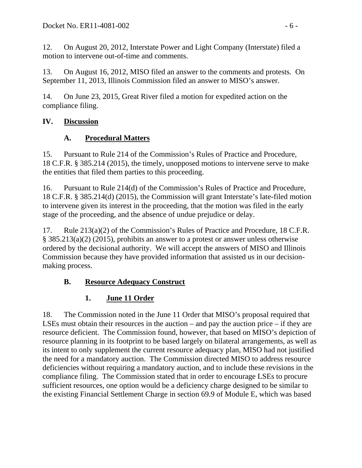12. On August 20, 2012, Interstate Power and Light Company (Interstate) filed a motion to intervene out-of-time and comments.

13. On August 16, 2012, MISO filed an answer to the comments and protests. On September 11, 2013, Illinois Commission filed an answer to MISO's answer.

14. On June 23, 2015, Great River filed a motion for expedited action on the compliance filing.

## **IV. Discussion**

## **A. Procedural Matters**

15. Pursuant to Rule 214 of the Commission's Rules of Practice and Procedure, 18 C.F.R. § 385.214 (2015), the timely, unopposed motions to intervene serve to make the entities that filed them parties to this proceeding.

16. Pursuant to Rule 214(d) of the Commission's Rules of Practice and Procedure, 18 C.F.R. § 385.214(d) (2015), the Commission will grant Interstate's late-filed motion to intervene given its interest in the proceeding, that the motion was filed in the early stage of the proceeding, and the absence of undue prejudice or delay.

17. Rule 213(a)(2) of the Commission's Rules of Practice and Procedure, 18 C.F.R. § 385.213(a)(2) (2015), prohibits an answer to a protest or answer unless otherwise ordered by the decisional authority. We will accept the answers of MISO and Illinois Commission because they have provided information that assisted us in our decisionmaking process.

# **B. Resource Adequacy Construct**

# **1. June 11 Order**

18. The Commission noted in the June 11 Order that MISO's proposal required that LSEs must obtain their resources in the auction – and pay the auction price – if they are resource deficient. The Commission found, however, that based on MISO's depiction of resource planning in its footprint to be based largely on bilateral arrangements, as well as its intent to only supplement the current resource adequacy plan, MISO had not justified the need for a mandatory auction. The Commission directed MISO to address resource deficiencies without requiring a mandatory auction, and to include these revisions in the compliance filing. The Commission stated that in order to encourage LSEs to procure sufficient resources, one option would be a deficiency charge designed to be similar to the existing Financial Settlement Charge in section 69.9 of Module E, which was based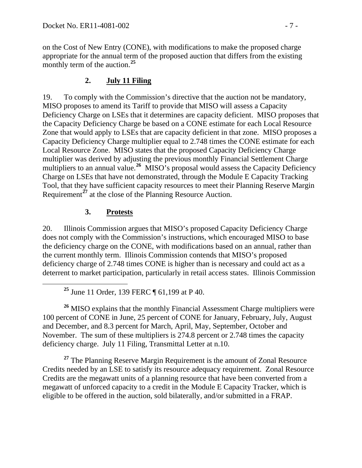on the Cost of New Entry (CONE), with modifications to make the proposed charge appropriate for the annual term of the proposed auction that differs from the existing monthly term of the auction.**[25](#page-6-0)**

#### **2. July 11 Filing**

19. To comply with the Commission's directive that the auction not be mandatory, MISO proposes to amend its Tariff to provide that MISO will assess a Capacity Deficiency Charge on LSEs that it determines are capacity deficient. MISO proposes that the Capacity Deficiency Charge be based on a CONE estimate for each Local Resource Zone that would apply to LSEs that are capacity deficient in that zone. MISO proposes a Capacity Deficiency Charge multiplier equal to 2.748 times the CONE estimate for each Local Resource Zone. MISO states that the proposed Capacity Deficiency Charge multiplier was derived by adjusting the previous monthly Financial Settlement Charge multipliers to an annual value.<sup>[26](#page-6-1)</sup> MISO's proposal would assess the Capacity Deficiency Charge on LSEs that have not demonstrated, through the Module E Capacity Tracking Tool, that they have sufficient capacity resources to meet their Planning Reserve Margin Requirement<sup>[27](#page-6-2)</sup> at the close of the Planning Resource Auction.

#### **3. Protests**

20. Illinois Commission argues that MISO's proposed Capacity Deficiency Charge does not comply with the Commission's instructions, which encouraged MISO to base the deficiency charge on the CONE, with modifications based on an annual, rather than the current monthly term. Illinois Commission contends that MISO's proposed deficiency charge of 2.748 times CONE is higher than is necessary and could act as a deterrent to market participation, particularly in retail access states. Illinois Commission

<span id="page-6-1"></span><span id="page-6-0"></span><sup>26</sup> MISO explains that the monthly Financial Assessment Charge multipliers were 100 percent of CONE in June, 25 percent of CONE for January, February, July, August and December, and 8.3 percent for March, April, May, September, October and November. The sum of these multipliers is 274.8 percent or 2.748 times the capacity deficiency charge. July 11 Filing, Transmittal Letter at n.10.

<span id="page-6-2"></span>**<sup>27</sup>** The Planning Reserve Margin Requirement is the amount of Zonal Resource Credits needed by an LSE to satisfy its resource adequacy requirement. Zonal Resource Credits are the megawatt units of a planning resource that have been converted from a megawatt of unforced capacity to a credit in the Module E Capacity Tracker, which is eligible to be offered in the auction, sold bilaterally, and/or submitted in a FRAP.

**<sup>25</sup>** June 11 Order, 139 FERC ¶ 61,199 at P 40.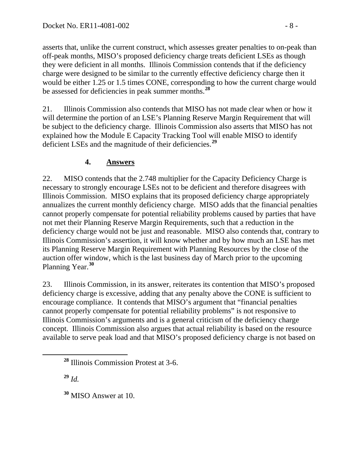asserts that, unlike the current construct, which assesses greater penalties to on-peak than off-peak months, MISO's proposed deficiency charge treats deficient LSEs as though they were deficient in all months. Illinois Commission contends that if the deficiency charge were designed to be similar to the currently effective deficiency charge then it would be either 1.25 or 1.5 times CONE, corresponding to how the current charge would be assessed for deficiencies in peak summer months.**[28](#page-7-0)**

21. Illinois Commission also contends that MISO has not made clear when or how it will determine the portion of an LSE's Planning Reserve Margin Requirement that will be subject to the deficiency charge. Illinois Commission also asserts that MISO has not explained how the Module E Capacity Tracking Tool will enable MISO to identify deficient LSEs and the magnitude of their deficiencies.**[29](#page-7-1)**

## **4. Answers**

22. MISO contends that the 2.748 multiplier for the Capacity Deficiency Charge is necessary to strongly encourage LSEs not to be deficient and therefore disagrees with Illinois Commission. MISO explains that its proposed deficiency charge appropriately annualizes the current monthly deficiency charge. MISO adds that the financial penalties cannot properly compensate for potential reliability problems caused by parties that have not met their Planning Reserve Margin Requirements, such that a reduction in the deficiency charge would not be just and reasonable. MISO also contends that, contrary to Illinois Commission's assertion, it will know whether and by how much an LSE has met its Planning Reserve Margin Requirement with Planning Resources by the close of the auction offer window, which is the last business day of March prior to the upcoming Planning Year.**[30](#page-7-2)**

23. Illinois Commission, in its answer, reiterates its contention that MISO's proposed deficiency charge is excessive, adding that any penalty above the CONE is sufficient to encourage compliance. It contends that MISO's argument that "financial penalties cannot properly compensate for potential reliability problems" is not responsive to Illinois Commission's arguments and is a general criticism of the deficiency charge concept. Illinois Commission also argues that actual reliability is based on the resource available to serve peak load and that MISO's proposed deficiency charge is not based on

<span id="page-7-1"></span>**<sup>29</sup>** *Id.*

<span id="page-7-2"></span>**<sup>30</sup>** MISO Answer at 10.

<span id="page-7-0"></span>**<sup>28</sup>** Illinois Commission Protest at 3-6.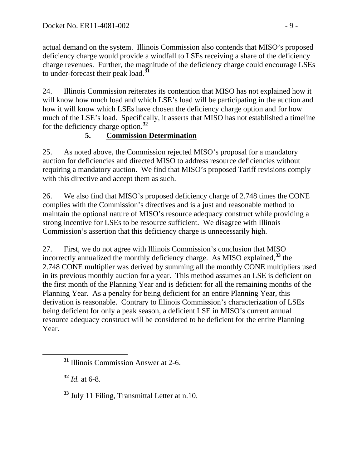actual demand on the system. Illinois Commission also contends that MISO's proposed deficiency charge would provide a windfall to LSEs receiving a share of the deficiency charge revenues. Further, the magnitude of the deficiency charge could encourage LSEs to under-forecast their peak load.**[31](#page-8-0)**

24. Illinois Commission reiterates its contention that MISO has not explained how it will know how much load and which LSE's load will be participating in the auction and how it will know which LSEs have chosen the deficiency charge option and for how much of the LSE's load. Specifically, it asserts that MISO has not established a timeline for the deficiency charge option.**[32](#page-8-1)**

### **5. Commission Determination**

25. As noted above, the Commission rejected MISO's proposal for a mandatory auction for deficiencies and directed MISO to address resource deficiencies without requiring a mandatory auction. We find that MISO's proposed Tariff revisions comply with this directive and accept them as such.

26. We also find that MISO's proposed deficiency charge of 2.748 times the CONE complies with the Commission's directives and is a just and reasonable method to maintain the optional nature of MISO's resource adequacy construct while providing a strong incentive for LSEs to be resource sufficient. We disagree with Illinois Commission's assertion that this deficiency charge is unnecessarily high.

27. First, we do not agree with Illinois Commission's conclusion that MISO incorrectly annualized the monthly deficiency charge. As MISO explained,**[33](#page-8-2)** the 2.748 CONE multiplier was derived by summing all the monthly CONE multipliers used in its previous monthly auction for a year. This method assumes an LSE is deficient on the first month of the Planning Year and is deficient for all the remaining months of the Planning Year. As a penalty for being deficient for an entire Planning Year, this derivation is reasonable. Contrary to Illinois Commission's characterization of LSEs being deficient for only a peak season, a deficient LSE in MISO's current annual resource adequacy construct will be considered to be deficient for the entire Planning Year.

<span id="page-8-1"></span>**<sup>32</sup>** *Id.* at 6-8.

<span id="page-8-2"></span>**<sup>33</sup>** July 11 Filing, Transmittal Letter at n.10.

<span id="page-8-0"></span>**<sup>31</sup>** Illinois Commission Answer at 2-6.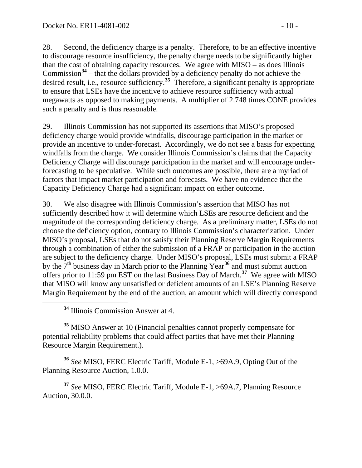28. Second, the deficiency charge is a penalty. Therefore, to be an effective incentive to discourage resource insufficiency, the penalty charge needs to be significantly higher than the cost of obtaining capacity resources. We agree with MISO – as does Illinois Commission**[34](#page-9-0)** – that the dollars provided by a deficiency penalty do not achieve the desired result, i.e., resource sufficiency.**[35](#page-9-1)** Therefore, a significant penalty is appropriate to ensure that LSEs have the incentive to achieve resource sufficiency with actual megawatts as opposed to making payments. A multiplier of 2.748 times CONE provides such a penalty and is thus reasonable.

29. Illinois Commission has not supported its assertions that MISO's proposed deficiency charge would provide windfalls, discourage participation in the market or provide an incentive to under-forecast. Accordingly, we do not see a basis for expecting windfalls from the charge. We consider Illinois Commission's claims that the Capacity Deficiency Charge will discourage participation in the market and will encourage underforecasting to be speculative. While such outcomes are possible, there are a myriad of factors that impact market participation and forecasts. We have no evidence that the Capacity Deficiency Charge had a significant impact on either outcome.

30. We also disagree with Illinois Commission's assertion that MISO has not sufficiently described how it will determine which LSEs are resource deficient and the magnitude of the corresponding deficiency charge. As a preliminary matter, LSEs do not choose the deficiency option, contrary to Illinois Commission's characterization. Under MISO's proposal, LSEs that do not satisfy their Planning Reserve Margin Requirements through a combination of either the submission of a FRAP or participation in the auction are subject to the deficiency charge. Under MISO's proposal, LSEs must submit a FRAP by the 7th business day in March prior to the Planning Year**[36](#page-9-2)** and must submit auction offers prior to 11:59 pm EST on the last Business Day of March.**[37](#page-9-3)** We agree with MISO that MISO will know any unsatisfied or deficient amounts of an LSE's Planning Reserve Margin Requirement by the end of the auction, an amount which will directly correspond

<span id="page-9-1"></span><span id="page-9-0"></span>**<sup>35</sup>** MISO Answer at 10 (Financial penalties cannot properly compensate for potential reliability problems that could affect parties that have met their Planning Resource Margin Requirement.).

<span id="page-9-2"></span>**<sup>36</sup>** *See* MISO, FERC Electric Tariff, Module E-1, >69A.9, Opting Out of the Planning Resource Auction, 1.0.0.

<span id="page-9-3"></span>**<sup>37</sup>** *See* MISO, FERC Electric Tariff, Module E-1, >69A.7, Planning Resource Auction, 30.0.0.

**<sup>34</sup>** Illinois Commission Answer at 4.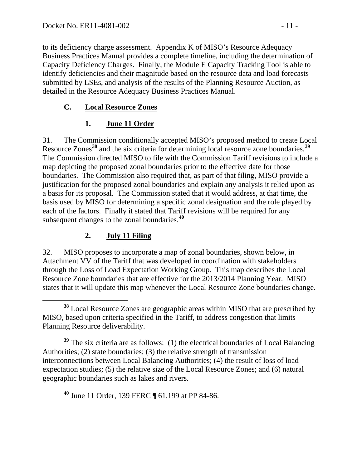to its deficiency charge assessment. Appendix K of MISO's Resource Adequacy Business Practices Manual provides a complete timeline, including the determination of Capacity Deficiency Charges. Finally, the Module E Capacity Tracking Tool is able to identify deficiencies and their magnitude based on the resource data and load forecasts submitted by LSEs, and analysis of the results of the Planning Resource Auction, as detailed in the Resource Adequacy Business Practices Manual.

## **C. Local Resource Zones**

# **1. June 11 Order**

31. The Commission conditionally accepted MISO's proposed method to create Local Resource Zones**[38](#page-10-0)** and the six criteria for determining local resource zone boundaries.**[39](#page-10-1)** The Commission directed MISO to file with the Commission Tariff revisions to include a map depicting the proposed zonal boundaries prior to the effective date for those boundaries. The Commission also required that, as part of that filing, MISO provide a justification for the proposed zonal boundaries and explain any analysis it relied upon as a basis for its proposal. The Commission stated that it would address, at that time, the basis used by MISO for determining a specific zonal designation and the role played by each of the factors. Finally it stated that Tariff revisions will be required for any subsequent changes to the zonal boundaries.**[40](#page-10-2)**

## **2. July 11 Filing**

32. MISO proposes to incorporate a map of zonal boundaries, shown below, in Attachment VV of the Tariff that was developed in coordination with stakeholders through the Loss of Load Expectation Working Group. This map describes the Local Resource Zone boundaries that are effective for the 2013/2014 Planning Year. MISO states that it will update this map whenever the Local Resource Zone boundaries change.

<span id="page-10-1"></span>**<sup>39</sup>** The six criteria are as follows: (1) the electrical boundaries of Local Balancing Authorities; (2) state boundaries; (3) the relative strength of transmission interconnections between Local Balancing Authorities; (4) the result of loss of load expectation studies; (5) the relative size of the Local Resource Zones; and (6) natural geographic boundaries such as lakes and rivers.

<span id="page-10-2"></span>**<sup>40</sup>** June 11 Order, 139 FERC ¶ 61,199 at PP 84-86.

<span id="page-10-0"></span>**<sup>38</sup>** Local Resource Zones are geographic areas within MISO that are prescribed by MISO, based upon criteria specified in the Tariff, to address congestion that limits Planning Resource deliverability.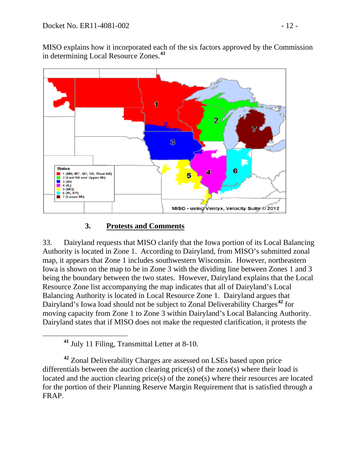MISO explains how it incorporated each of the six factors approved by the Commission in determining Local Resource Zones.**[41](#page-11-0)**



#### **3. Protests and Comments**

33. Dairyland requests that MISO clarify that the Iowa portion of its Local Balancing Authority is located in Zone 1. According to Dairyland, from MISO's submitted zonal map, it appears that Zone 1 includes southwestern Wisconsin. However, northeastern Iowa is shown on the map to be in Zone 3 with the dividing line between Zones 1 and 3 being the boundary between the two states. However, Dairyland explains that the Local Resource Zone list accompanying the map indicates that all of Dairyland's Local Balancing Authority is located in Local Resource Zone 1. Dairyland argues that Dairyland's Iowa load should not be subject to Zonal Deliverability Charges**[42](#page-11-1)** for moving capacity from Zone 1 to Zone 3 within Dairyland's Local Balancing Authority. Dairyland states that if MISO does not make the requested clarification, it protests the

**<sup>41</sup>** July 11 Filing, Transmittal Letter at 8-10.

<span id="page-11-1"></span><span id="page-11-0"></span>**<sup>42</sup>** Zonal Deliverability Charges are assessed on LSEs based upon price differentials between the auction clearing price(s) of the zone(s) where their load is located and the auction clearing price(s) of the zone(s) where their resources are located for the portion of their Planning Reserve Margin Requirement that is satisfied through a FRAP.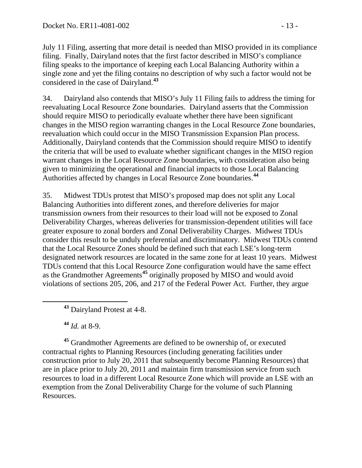July 11 Filing, asserting that more detail is needed than MISO provided in its compliance filing. Finally, Dairyland notes that the first factor described in MISO's compliance filing speaks to the importance of keeping each Local Balancing Authority within a single zone and yet the filing contains no description of why such a factor would not be considered in the case of Dairyland.**[43](#page-12-0)**

34. Dairyland also contends that MISO's July 11 Filing fails to address the timing for reevaluating Local Resource Zone boundaries. Dairyland asserts that the Commission should require MISO to periodically evaluate whether there have been significant changes in the MISO region warranting changes in the Local Resource Zone boundaries, reevaluation which could occur in the MISO Transmission Expansion Plan process. Additionally, Dairyland contends that the Commission should require MISO to identify the criteria that will be used to evaluate whether significant changes in the MISO region warrant changes in the Local Resource Zone boundaries, with consideration also being given to minimizing the operational and financial impacts to those Local Balancing Authorities affected by changes in Local Resource Zone boundaries.**[44](#page-12-1)**

35. Midwest TDUs protest that MISO's proposed map does not split any Local Balancing Authorities into different zones, and therefore deliveries for major transmission owners from their resources to their load will not be exposed to Zonal Deliverability Charges, whereas deliveries for transmission-dependent utilities will face greater exposure to zonal borders and Zonal Deliverability Charges. Midwest TDUs consider this result to be unduly preferential and discriminatory. Midwest TDUs contend that the Local Resource Zones should be defined such that each LSE's long-term designated network resources are located in the same zone for at least 10 years. Midwest TDUs contend that this Local Resource Zone configuration would have the same effect as the Grandmother Agreements**[45](#page-12-2)** originally proposed by MISO and would avoid violations of sections 205, 206, and 217 of the Federal Power Act. Further, they argue

**<sup>43</sup>** Dairyland Protest at 4-8.

**<sup>44</sup>** *Id.* at 8-9.

<span id="page-12-2"></span><span id="page-12-1"></span><span id="page-12-0"></span>**<sup>45</sup>** Grandmother Agreements are defined to be ownership of, or executed contractual rights to Planning Resources (including generating facilities under construction prior to July 20, 2011 that subsequently become Planning Resources) that are in place prior to July 20, 2011 and maintain firm transmission service from such resources to load in a different Local Resource Zone which will provide an LSE with an exemption from the Zonal Deliverability Charge for the volume of such Planning Resources.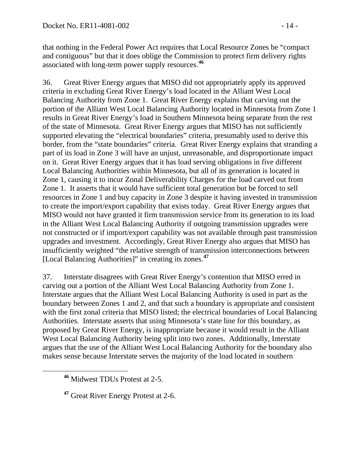that nothing in the Federal Power Act requires that Local Resource Zones be "compact and contiguous" but that it does oblige the Commission to protect firm delivery rights associated with long-term power supply resources.**[46](#page-13-0)**

36. Great River Energy argues that MISO did not appropriately apply its approved criteria in excluding Great River Energy's load located in the Alliant West Local Balancing Authority from Zone 1. Great River Energy explains that carving out the portion of the Alliant West Local Balancing Authority located in Minnesota from Zone 1 results in Great River Energy's load in Southern Minnesota being separate from the rest of the state of Minnesota. Great River Energy argues that MISO has not sufficiently supported elevating the "electrical boundaries" criteria, presumably used to derive this border, from the "state boundaries" criteria. Great River Energy explains that stranding a part of its load in Zone 3 will have an unjust, unreasonable, and disproportionate impact on it. Great River Energy argues that it has load serving obligations in five different Local Balancing Authorities within Minnesota, but all of its generation is located in Zone 1, causing it to incur Zonal Deliverability Charges for the load carved out from Zone 1. It asserts that it would have sufficient total generation but be forced to sell resources in Zone 1 and buy capacity in Zone 3 despite it having invested in transmission to create the import/export capability that exists today. Great River Energy argues that MISO would not have granted it firm transmission service from its generation to its load in the Alliant West Local Balancing Authority if outgoing transmission upgrades were not constructed or if import/export capability was not available through past transmission upgrades and investment. Accordingly, Great River Energy also argues that MISO has insufficiently weighted "the relative strength of transmission interconnections between [Local Balancing Authorities]" in creating its zones.**[47](#page-13-1)**

37. Interstate disagrees with Great River Energy's contention that MISO erred in carving out a portion of the Alliant West Local Balancing Authority from Zone 1. Interstate argues that the Alliant West Local Balancing Authority is used in part as the boundary between Zones 1 and 2, and that such a boundary is appropriate and consistent with the first zonal criteria that MISO listed; the electrical boundaries of Local Balancing Authorities. Interstate asserts that using Minnesota's state line for this boundary, as proposed by Great River Energy, is inappropriate because it would result in the Alliant West Local Balancing Authority being split into two zones. Additionally, Interstate argues that the use of the Alliant West Local Balancing Authority for the boundary also makes sense because Interstate serves the majority of the load located in southern

<span id="page-13-0"></span>**<sup>46</sup>** Midwest TDUs Protest at 2-5.

<span id="page-13-1"></span>**<sup>47</sup>** Great River Energy Protest at 2-6.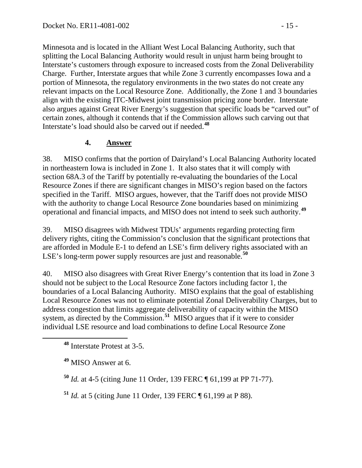Minnesota and is located in the Alliant West Local Balancing Authority, such that splitting the Local Balancing Authority would result in unjust harm being brought to Interstate's customers through exposure to increased costs from the Zonal Deliverability Charge. Further, Interstate argues that while Zone 3 currently encompasses Iowa and a portion of Minnesota, the regulatory environments in the two states do not create any relevant impacts on the Local Resource Zone. Additionally, the Zone 1 and 3 boundaries align with the existing ITC-Midwest joint transmission pricing zone border. Interstate also argues against Great River Energy's suggestion that specific loads be "carved out" of certain zones, although it contends that if the Commission allows such carving out that Interstate's load should also be carved out if needed.**[48](#page-14-0)**

### **4. Answer**

38. MISO confirms that the portion of Dairyland's Local Balancing Authority located in northeastern Iowa is included in Zone 1. It also states that it will comply with section 68A.3 of the Tariff by potentially re-evaluating the boundaries of the Local Resource Zones if there are significant changes in MISO's region based on the factors specified in the Tariff. MISO argues, however, that the Tariff does not provide MISO with the authority to change Local Resource Zone boundaries based on minimizing operational and financial impacts, and MISO does not intend to seek such authority.**[49](#page-14-1)**

39. MISO disagrees with Midwest TDUs' arguments regarding protecting firm delivery rights, citing the Commission's conclusion that the significant protections that are afforded in Module E-1 to defend an LSE's firm delivery rights associated with an LSE's long-term power supply resources are just and reasonable.**[50](#page-14-2)**

40. MISO also disagrees with Great River Energy's contention that its load in Zone 3 should not be subject to the Local Resource Zone factors including factor 1, the boundaries of a Local Balancing Authority. MISO explains that the goal of establishing Local Resource Zones was not to eliminate potential Zonal Deliverability Charges, but to address congestion that limits aggregate deliverability of capacity within the MISO system, as directed by the Commission.**[51](#page-14-3)** MISO argues that if it were to consider individual LSE resource and load combinations to define Local Resource Zone

<span id="page-14-2"></span>**<sup>50</sup>** *Id.* at 4-5 (citing June 11 Order, 139 FERC ¶ 61,199 at PP 71-77).

<span id="page-14-3"></span>**<sup>51</sup>** *Id.* at 5 (citing June 11 Order, 139 FERC ¶ 61,199 at P 88).

<span id="page-14-0"></span>**<sup>48</sup>** Interstate Protest at 3-5.

<span id="page-14-1"></span>**<sup>49</sup>** MISO Answer at 6.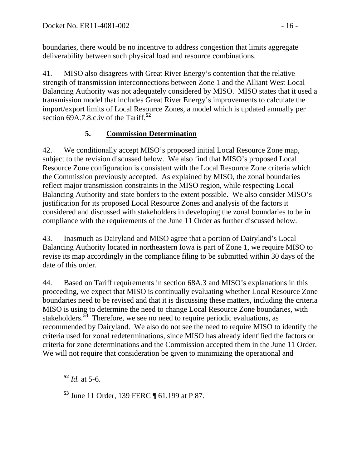boundaries, there would be no incentive to address congestion that limits aggregate deliverability between such physical load and resource combinations.

41. MISO also disagrees with Great River Energy's contention that the relative strength of transmission interconnections between Zone 1 and the Alliant West Local Balancing Authority was not adequately considered by MISO. MISO states that it used a transmission model that includes Great River Energy's improvements to calculate the import/export limits of Local Resource Zones, a model which is updated annually per section 69A.7.8.c.iv of the Tariff.**[52](#page-15-0)**

## **5. Commission Determination**

42. We conditionally accept MISO's proposed initial Local Resource Zone map, subject to the revision discussed below. We also find that MISO's proposed Local Resource Zone configuration is consistent with the Local Resource Zone criteria which the Commission previously accepted. As explained by MISO, the zonal boundaries reflect major transmission constraints in the MISO region, while respecting Local Balancing Authority and state borders to the extent possible. We also consider MISO's justification for its proposed Local Resource Zones and analysis of the factors it considered and discussed with stakeholders in developing the zonal boundaries to be in compliance with the requirements of the June 11 Order as further discussed below.

43. Inasmuch as Dairyland and MISO agree that a portion of Dairyland's Local Balancing Authority located in northeastern Iowa is part of Zone 1, we require MISO to revise its map accordingly in the compliance filing to be submitted within 30 days of the date of this order.

44. Based on Tariff requirements in section 68A.3 and MISO's explanations in this proceeding, we expect that MISO is continually evaluating whether Local Resource Zone boundaries need to be revised and that it is discussing these matters, including the criteria MISO is using to determine the need to change Local Resource Zone boundaries, with stakeholders.**[53](#page-15-1)** Therefore, we see no need to require periodic evaluations, as recommended by Dairyland. We also do not see the need to require MISO to identify the criteria used for zonal redeterminations, since MISO has already identified the factors or criteria for zone determinations and the Commission accepted them in the June 11 Order. We will not require that consideration be given to minimizing the operational and

<span id="page-15-0"></span>**<sup>52</sup>** *Id.* at 5-6.

<span id="page-15-1"></span>**<sup>53</sup>** June 11 Order, 139 FERC ¶ 61,199 at P 87.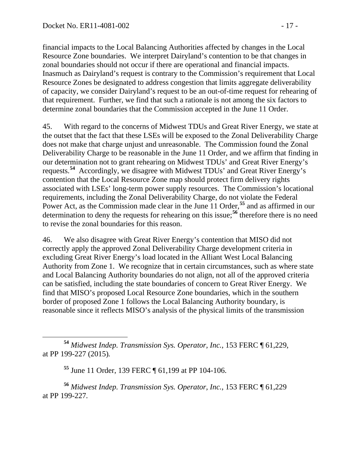financial impacts to the Local Balancing Authorities affected by changes in the Local Resource Zone boundaries. We interpret Dairyland's contention to be that changes in zonal boundaries should not occur if there are operational and financial impacts. Inasmuch as Dairyland's request is contrary to the Commission's requirement that Local Resource Zones be designated to address congestion that limits aggregate deliverability of capacity, we consider Dairyland's request to be an out-of-time request for rehearing of that requirement. Further, we find that such a rationale is not among the six factors to determine zonal boundaries that the Commission accepted in the June 11 Order.

45. With regard to the concerns of Midwest TDUs and Great River Energy, we state at the outset that the fact that these LSEs will be exposed to the Zonal Deliverability Charge does not make that charge unjust and unreasonable. The Commission found the Zonal Deliverability Charge to be reasonable in the June 11 Order, and we affirm that finding in our determination not to grant rehearing on Midwest TDUs' and Great River Energy's requests.**[54](#page-16-0)** Accordingly, we disagree with Midwest TDUs' and Great River Energy's contention that the Local Resource Zone map should protect firm delivery rights associated with LSEs' long-term power supply resources. The Commission's locational requirements, including the Zonal Deliverability Charge, do not violate the Federal Power Act, as the Commission made clear in the June 11 Order,<sup>[55](#page-16-1)</sup> and as affirmed in our determination to deny the requests for rehearing on this issue;**[56](#page-16-2)** therefore there is no need to revise the zonal boundaries for this reason.

46. We also disagree with Great River Energy's contention that MISO did not correctly apply the approved Zonal Deliverability Charge development criteria in excluding Great River Energy's load located in the Alliant West Local Balancing Authority from Zone 1. We recognize that in certain circumstances, such as where state and Local Balancing Authority boundaries do not align, not all of the approved criteria can be satisfied, including the state boundaries of concern to Great River Energy. We find that MISO's proposed Local Resource Zone boundaries, which in the southern border of proposed Zone 1 follows the Local Balancing Authority boundary, is reasonable since it reflects MISO's analysis of the physical limits of the transmission

**<sup>55</sup>** June 11 Order, 139 FERC ¶ 61,199 at PP 104-106.

<span id="page-16-2"></span><span id="page-16-1"></span>**<sup>56</sup>** *Midwest Indep. Transmission Sys. Operator, Inc.*, 153 FERC ¶ 61,229 at PP 199-227*.*

<span id="page-16-0"></span>**<sup>54</sup>** *Midwest Indep. Transmission Sys. Operator, Inc.*, 153 FERC ¶ 61,229, at PP 199-227 (2015)*.*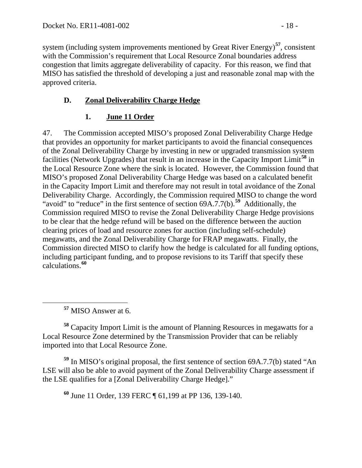system (including system improvements mentioned by Great River Energy) **[57](#page-17-0)**, consistent with the Commission's requirement that Local Resource Zonal boundaries address congestion that limits aggregate deliverability of capacity. For this reason, we find that MISO has satisfied the threshold of developing a just and reasonable zonal map with the approved criteria.

## **D. Zonal Deliverability Charge Hedge**

## **1. June 11 Order**

47. The Commission accepted MISO's proposed Zonal Deliverability Charge Hedge that provides an opportunity for market participants to avoid the financial consequences of the Zonal Deliverability Charge by investing in new or upgraded transmission system facilities (Network Upgrades) that result in an increase in the Capacity Import Limit**[58](#page-17-1)** in the Local Resource Zone where the sink is located. However, the Commission found that MISO's proposed Zonal Deliverability Charge Hedge was based on a calculated benefit in the Capacity Import Limit and therefore may not result in total avoidance of the Zonal Deliverability Charge. Accordingly, the Commission required MISO to change the word "avoid" to "reduce" in the first sentence of section 69A.7.7(b).<sup>[59](#page-17-2)</sup> Additionally, the Commission required MISO to revise the Zonal Deliverability Charge Hedge provisions to be clear that the hedge refund will be based on the difference between the auction clearing prices of load and resource zones for auction (including self-schedule) megawatts, and the Zonal Deliverability Charge for FRAP megawatts. Finally, the Commission directed MISO to clarify how the hedge is calculated for all funding options, including participant funding, and to propose revisions to its Tariff that specify these calculations.**[60](#page-17-3)**

**<sup>57</sup>** MISO Answer at 6.

<span id="page-17-1"></span><span id="page-17-0"></span>**<sup>58</sup>** Capacity Import Limit is the amount of Planning Resources in megawatts for a Local Resource Zone determined by the Transmission Provider that can be reliably imported into that Local Resource Zone.

<span id="page-17-3"></span><span id="page-17-2"></span>**<sup>59</sup>** In MISO's original proposal, the first sentence of section 69A.7.7(b) stated "An LSE will also be able to avoid payment of the Zonal Deliverability Charge assessment if the LSE qualifies for a [Zonal Deliverability Charge Hedge]."

**<sup>60</sup>** June 11 Order, 139 FERC ¶ 61,199 at PP 136, 139-140.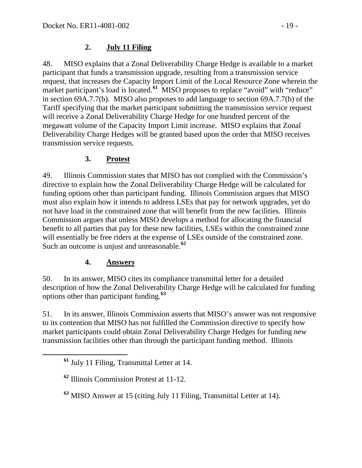#### **2. July 11 Filing**

48. MISO explains that a Zonal Deliverability Charge Hedge is available to a market participant that funds a transmission upgrade, resulting from a transmission service request, that increases the Capacity Import Limit of the Local Resource Zone wherein the market participant's load is located.<sup>[61](#page-18-0)</sup> MISO proposes to replace "avoid" with "reduce" in section 69A.7.7(b). MISO also proposes to add language to section 69A.7.7(b) of the Tariff specifying that the market participant submitting the transmission service request will receive a Zonal Deliverability Charge Hedge for one hundred percent of the megawatt volume of the Capacity Import Limit increase. MISO explains that Zonal Deliverability Charge Hedges will be granted based upon the order that MISO receives transmission service requests.

### **3. Protest**

49. Illinois Commission states that MISO has not complied with the Commission's directive to explain how the Zonal Deliverability Charge Hedge will be calculated for funding options other than participant funding. Illinois Commission argues that MISO must also explain how it intends to address LSEs that pay for network upgrades, yet do not have load in the constrained zone that will benefit from the new facilities. Illinois Commission argues that unless MISO develops a method for allocating the financial benefit to all parties that pay for these new facilities, LSEs within the constrained zone will essentially be free riders at the expense of LSEs outside of the constrained zone. Such an outcome is unjust and unreasonable.**[62](#page-18-1)**

### **4. Answers**

50. In its answer, MISO cites its compliance transmittal letter for a detailed description of how the Zonal Deliverability Charge Hedge will be calculated for funding options other than participant funding.**[63](#page-18-2)**

51. In its answer, Illinois Commission asserts that MISO's answer was not responsive to its contention that MISO has not fulfilled the Commission directive to specify how market participants could obtain Zonal Deliverability Charge Hedges for funding new transmission facilities other than through the participant funding method. Illinois

<span id="page-18-2"></span>**<sup>63</sup>** MISO Answer at 15 (citing July 11 Filing, Transmittal Letter at 14).

<span id="page-18-0"></span>**<sup>61</sup>** July 11 Filing, Transmittal Letter at 14.

<span id="page-18-1"></span>**<sup>62</sup>** Illinois Commission Protest at 11-12.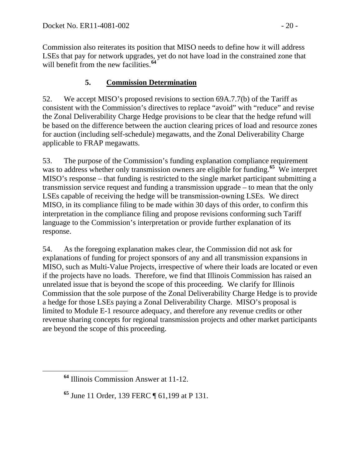Commission also reiterates its position that MISO needs to define how it will address LSEs that pay for network upgrades, yet do not have load in the constrained zone that will benefit from the new facilities.<sup>[64](#page-19-0)</sup>

### **5. Commission Determination**

52. We accept MISO's proposed revisions to section 69A.7.7(b) of the Tariff as consistent with the Commission's directives to replace "avoid" with "reduce" and revise the Zonal Deliverability Charge Hedge provisions to be clear that the hedge refund will be based on the difference between the auction clearing prices of load and resource zones for auction (including self-schedule) megawatts, and the Zonal Deliverability Charge applicable to FRAP megawatts.

53. The purpose of the Commission's funding explanation compliance requirement was to address whether only transmission owners are eligible for funding.<sup>[65](#page-19-1)</sup> We interpret MISO's response – that funding is restricted to the single market participant submitting a transmission service request and funding a transmission upgrade – to mean that the only LSEs capable of receiving the hedge will be transmission-owning LSEs. We direct MISO, in its compliance filing to be made within 30 days of this order, to confirm this interpretation in the compliance filing and propose revisions conforming such Tariff language to the Commission's interpretation or provide further explanation of its response.

54. As the foregoing explanation makes clear, the Commission did not ask for explanations of funding for project sponsors of any and all transmission expansions in MISO, such as Multi-Value Projects, irrespective of where their loads are located or even if the projects have no loads. Therefore, we find that Illinois Commission has raised an unrelated issue that is beyond the scope of this proceeding. We clarify for Illinois Commission that the sole purpose of the Zonal Deliverability Charge Hedge is to provide a hedge for those LSEs paying a Zonal Deliverability Charge. MISO's proposal is limited to Module E-1 resource adequacy, and therefore any revenue credits or other revenue sharing concepts for regional transmission projects and other market participants are beyond the scope of this proceeding.

<span id="page-19-0"></span>**<sup>64</sup>** Illinois Commission Answer at 11-12.

<span id="page-19-1"></span>**<sup>65</sup>** June 11 Order, 139 FERC ¶ 61,199 at P 131.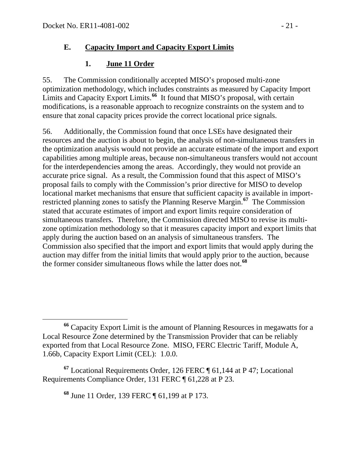### **E. Capacity Import and Capacity Export Limits**

### **1. June 11 Order**

55. The Commission conditionally accepted MISO's proposed multi-zone optimization methodology, which includes constraints as measured by Capacity Import Limits and Capacity Export Limits.<sup>[66](#page-20-0)</sup> It found that MISO's proposal, with certain modifications, is a reasonable approach to recognize constraints on the system and to ensure that zonal capacity prices provide the correct locational price signals.

56. Additionally, the Commission found that once LSEs have designated their resources and the auction is about to begin, the analysis of non-simultaneous transfers in the optimization analysis would not provide an accurate estimate of the import and export capabilities among multiple areas, because non-simultaneous transfers would not account for the interdependencies among the areas. Accordingly, they would not provide an accurate price signal.As a result, the Commission found that this aspect of MISO's proposal fails to comply with the Commission's prior directive for MISO to develop locational market mechanisms that ensure that sufficient capacity is available in importrestricted planning zones to satisfy the Planning Reserve Margin.**[67](#page-20-1)** The Commission stated that accurate estimates of import and export limits require consideration of simultaneous transfers. Therefore, the Commission directed MISO to revise its multizone optimization methodology so that it measures capacity import and export limits that apply during the auction based on an analysis of simultaneous transfers. The Commission also specified that the import and export limits that would apply during the auction may differ from the initial limits that would apply prior to the auction, because the former consider simultaneous flows while the latter does not.**[68](#page-20-2)**

**<sup>68</sup>** June 11 Order, 139 FERC ¶ 61,199 at P 173.

<span id="page-20-0"></span>**<sup>66</sup>** Capacity Export Limit is the amount of Planning Resources in megawatts for a Local Resource Zone determined by the Transmission Provider that can be reliably exported from that Local Resource Zone. MISO, FERC Electric Tariff, Module A, 1.66b, Capacity Export Limit (CEL): 1.0.0.

<span id="page-20-2"></span><span id="page-20-1"></span>**<sup>67</sup>** Locational Requirements Order, 126 FERC ¶ 61,144 at P 47; Locational Requirements Compliance Order, 131 FERC ¶ 61,228 at P 23.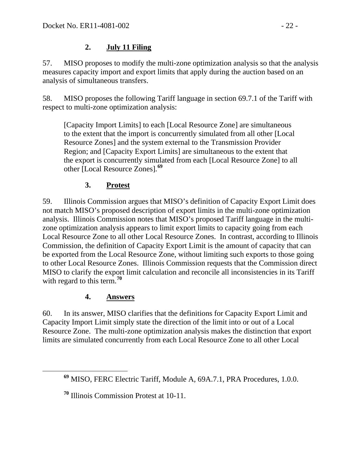#### **2. July 11 Filing**

57. MISO proposes to modify the multi-zone optimization analysis so that the analysis measures capacity import and export limits that apply during the auction based on an analysis of simultaneous transfers.

58. MISO proposes the following Tariff language in section 69.7.1 of the Tariff with respect to multi-zone optimization analysis:

[Capacity Import Limits] to each [Local Resource Zone] are simultaneous to the extent that the import is concurrently simulated from all other [Local Resource Zones] and the system external to the Transmission Provider Region; and [Capacity Export Limits] are simultaneous to the extent that the export is concurrently simulated from each [Local Resource Zone] to all other [Local Resource Zones].**[69](#page-21-0)**

### **3. Protest**

59. Illinois Commission argues that MISO's definition of Capacity Export Limit does not match MISO's proposed description of export limits in the multi-zone optimization analysis. Illinois Commission notes that MISO's proposed Tariff language in the multizone optimization analysis appears to limit export limits to capacity going from each Local Resource Zone to all other Local Resource Zones. In contrast, according to Illinois Commission, the definition of Capacity Export Limit is the amount of capacity that can be exported from the Local Resource Zone, without limiting such exports to those going to other Local Resource Zones. Illinois Commission requests that the Commission direct MISO to clarify the export limit calculation and reconcile all inconsistencies in its Tariff with regard to this term.**[70](#page-21-1)**

### **4. Answers**

60. In its answer, MISO clarifies that the definitions for Capacity Export Limit and Capacity Import Limit simply state the direction of the limit into or out of a Local Resource Zone. The multi-zone optimization analysis makes the distinction that export limits are simulated concurrently from each Local Resource Zone to all other Local

<span id="page-21-0"></span>**<sup>69</sup>** MISO, FERC Electric Tariff, Module A, 69A.7.1, PRA Procedures, 1.0.0.

<span id="page-21-1"></span>**<sup>70</sup>** Illinois Commission Protest at 10-11.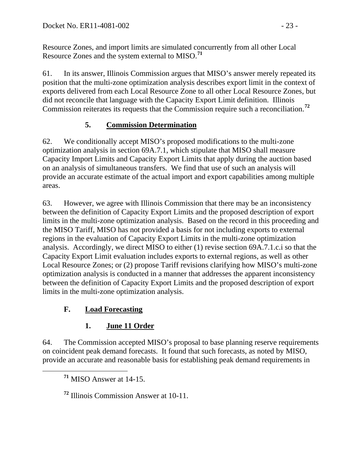Resource Zones, and import limits are simulated concurrently from all other Local Resource Zones and the system external to MISO.**[71](#page-22-0)**

61. In its answer, Illinois Commission argues that MISO's answer merely repeated its position that the multi-zone optimization analysis describes export limit in the context of exports delivered from each Local Resource Zone to all other Local Resource Zones, but did not reconcile that language with the Capacity Export Limit definition. Illinois Commission reiterates its requests that the Commission require such a reconciliation.**[72](#page-22-1)**

### **5. Commission Determination**

62. We conditionally accept MISO's proposed modifications to the multi-zone optimization analysis in section 69A.7.1, which stipulate that MISO shall measure Capacity Import Limits and Capacity Export Limits that apply during the auction based on an analysis of simultaneous transfers. We find that use of such an analysis will provide an accurate estimate of the actual import and export capabilities among multiple areas.

63. However, we agree with Illinois Commission that there may be an inconsistency between the definition of Capacity Export Limits and the proposed description of export limits in the multi-zone optimization analysis. Based on the record in this proceeding and the MISO Tariff, MISO has not provided a basis for not including exports to external regions in the evaluation of Capacity Export Limits in the multi-zone optimization analysis. Accordingly, we direct MISO to either (1) revise section 69A.7.1.c.i so that the Capacity Export Limit evaluation includes exports to external regions, as well as other Local Resource Zones; or (2) propose Tariff revisions clarifying how MISO's multi-zone optimization analysis is conducted in a manner that addresses the apparent inconsistency between the definition of Capacity Export Limits and the proposed description of export limits in the multi-zone optimization analysis.

# **F. Load Forecasting**

# **1. June 11 Order**

<span id="page-22-0"></span>64. The Commission accepted MISO's proposal to base planning reserve requirements on coincident peak demand forecasts. It found that such forecasts, as noted by MISO, provide an accurate and reasonable basis for establishing peak demand requirements in

**<sup>71</sup>** MISO Answer at 14-15.

<span id="page-22-1"></span>**<sup>72</sup>** Illinois Commission Answer at 10-11.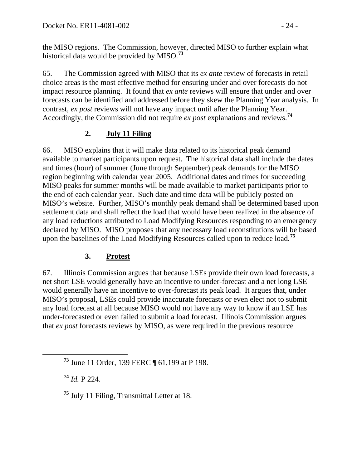the MISO regions. The Commission, however, directed MISO to further explain what historical data would be provided by MISO.**[73](#page-23-0)**

65. The Commission agreed with MISO that its *ex ante* review of forecasts in retail choice areas is the most effective method for ensuring under and over forecasts do not impact resource planning. It found that *ex ante* reviews will ensure that under and over forecasts can be identified and addressed before they skew the Planning Year analysis. In contrast, *ex post* reviews will not have any impact until after the Planning Year. Accordingly, the Commission did not require *ex post* explanations and reviews.**[74](#page-23-1)**

## **2. July 11 Filing**

66. MISO explains that it will make data related to its historical peak demand available to market participants upon request. The historical data shall include the dates and times (hour) of summer (June through September) peak demands for the MISO region beginning with calendar year 2005. Additional dates and times for succeeding MISO peaks for summer months will be made available to market participants prior to the end of each calendar year. Such date and time data will be publicly posted on MISO's website. Further, MISO's monthly peak demand shall be determined based upon settlement data and shall reflect the load that would have been realized in the absence of any load reductions attributed to Load Modifying Resources responding to an emergency declared by MISO. MISO proposes that any necessary load reconstitutions will be based upon the baselines of the Load Modifying Resources called upon to reduce load.**[75](#page-23-2)**

### **3. Protest**

67. Illinois Commission argues that because LSEs provide their own load forecasts, a net short LSE would generally have an incentive to under-forecast and a net long LSE would generally have an incentive to over-forecast its peak load. It argues that, under MISO's proposal, LSEs could provide inaccurate forecasts or even elect not to submit any load forecast at all because MISO would not have any way to know if an LSE has under-forecasted or even failed to submit a load forecast. Illinois Commission argues that *ex post* forecasts reviews by MISO, as were required in the previous resource

<span id="page-23-1"></span>**<sup>74</sup>** *Id.* P 224.

<span id="page-23-2"></span>**<sup>75</sup>** July 11 Filing, Transmittal Letter at 18.

<span id="page-23-0"></span>**<sup>73</sup>** June 11 Order, 139 FERC ¶ 61,199 at P 198.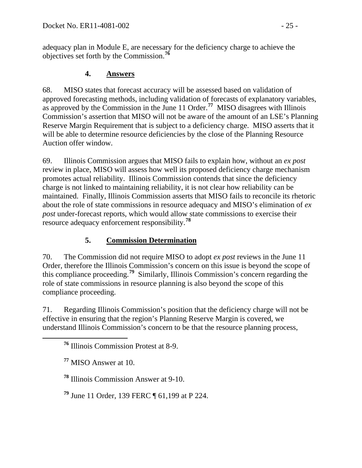adequacy plan in Module E, are necessary for the deficiency charge to achieve the objectives set forth by the Commission.**[76](#page-24-0)**

#### **4. Answers**

68. MISO states that forecast accuracy will be assessed based on validation of approved forecasting methods, including validation of forecasts of explanatory variables, as approved by the Commission in the June 11 Order.**[77](#page-24-1)** MISO disagrees with Illinois Commission's assertion that MISO will not be aware of the amount of an LSE's Planning Reserve Margin Requirement that is subject to a deficiency charge. MISO asserts that it will be able to determine resource deficiencies by the close of the Planning Resource Auction offer window.

69. Illinois Commission argues that MISO fails to explain how, without an *ex post* review in place, MISO will assess how well its proposed deficiency charge mechanism promotes actual reliability. Illinois Commission contends that since the deficiency charge is not linked to maintaining reliability, it is not clear how reliability can be maintained. Finally, Illinois Commission asserts that MISO fails to reconcile its rhetoric about the role of state commissions in resource adequacy and MISO's elimination of *ex post* under-forecast reports, which would allow state commissions to exercise their resource adequacy enforcement responsibility.**[78](#page-24-2)**

## **5. Commission Determination**

70. The Commission did not require MISO to adopt *ex post* reviews in the June 11 Order, therefore the Illinois Commission's concern on this issue is beyond the scope of this compliance proceeding.**[79](#page-24-3)** Similarly, Illinois Commission's concern regarding the role of state commissions in resource planning is also beyond the scope of this compliance proceeding.

<span id="page-24-0"></span>71. Regarding Illinois Commission's position that the deficiency charge will not be effective in ensuring that the region's Planning Reserve Margin is covered, we understand Illinois Commission's concern to be that the resource planning process,

<span id="page-24-3"></span>**<sup>79</sup>** June 11 Order, 139 FERC ¶ 61,199 at P 224.

**<sup>76</sup>** Illinois Commission Protest at 8-9.

<span id="page-24-1"></span>**<sup>77</sup>** MISO Answer at 10.

<span id="page-24-2"></span>**<sup>78</sup>** Illinois Commission Answer at 9-10.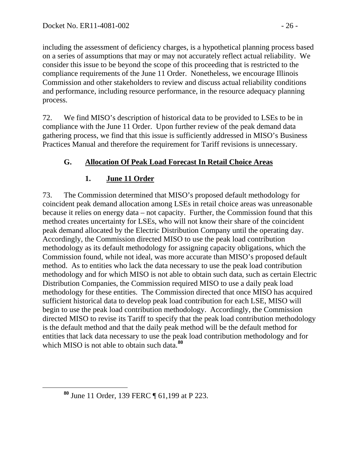including the assessment of deficiency charges, is a hypothetical planning process based on a series of assumptions that may or may not accurately reflect actual reliability. We consider this issue to be beyond the scope of this proceeding that is restricted to the compliance requirements of the June 11 Order. Nonetheless, we encourage Illinois Commission and other stakeholders to review and discuss actual reliability conditions and performance, including resource performance, in the resource adequacy planning process.

72. We find MISO's description of historical data to be provided to LSEs to be in compliance with the June 11 Order. Upon further review of the peak demand data gathering process, we find that this issue is sufficiently addressed in MISO's Business Practices Manual and therefore the requirement for Tariff revisions is unnecessary.

## **G. Allocation Of Peak Load Forecast In Retail Choice Areas**

## **1. June 11 Order**

73. The Commission determined that MISO's proposed default methodology for coincident peak demand allocation among LSEs in retail choice areas was unreasonable because it relies on energy data – not capacity. Further, the Commission found that this method creates uncertainty for LSEs, who will not know their share of the coincident peak demand allocated by the Electric Distribution Company until the operating day. Accordingly, the Commission directed MISO to use the peak load contribution methodology as its default methodology for assigning capacity obligations, which the Commission found, while not ideal, was more accurate than MISO's proposed default method. As to entities who lack the data necessary to use the peak load contribution methodology and for which MISO is not able to obtain such data, such as certain Electric Distribution Companies, the Commission required MISO to use a daily peak load methodology for these entities. The Commission directed that once MISO has acquired sufficient historical data to develop peak load contribution for each LSE, MISO will begin to use the peak load contribution methodology. Accordingly, the Commission directed MISO to revise its Tariff to specify that the peak load contribution methodology is the default method and that the daily peak method will be the default method for entities that lack data necessary to use the peak load contribution methodology and for which MISO is not able to obtain such data.<sup>[80](#page-25-0)</sup>

<span id="page-25-0"></span>**<sup>80</sup>** June 11 Order, 139 FERC ¶ 61,199 at P 223.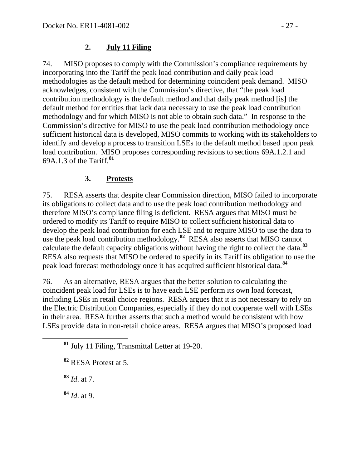#### **2. July 11 Filing**

74. MISO proposes to comply with the Commission's compliance requirements by incorporating into the Tariff the peak load contribution and daily peak load methodologies as the default method for determining coincident peak demand. MISO acknowledges, consistent with the Commission's directive, that "the peak load contribution methodology is the default method and that daily peak method [is] the default method for entities that lack data necessary to use the peak load contribution methodology and for which MISO is not able to obtain such data." In response to the Commission's directive for MISO to use the peak load contribution methodology once sufficient historical data is developed, MISO commits to working with its stakeholders to identify and develop a process to transition LSEs to the default method based upon peak load contribution. MISO proposes corresponding revisions to sections 69A.1.2.1 and 69A.1.3 of the Tariff.**[81](#page-26-0)**

### **3. Protests**

75. RESA asserts that despite clear Commission direction, MISO failed to incorporate its obligations to collect data and to use the peak load contribution methodology and therefore MISO's compliance filing is deficient. RESA argues that MISO must be ordered to modify its Tariff to require MISO to collect sufficient historical data to develop the peak load contribution for each LSE and to require MISO to use the data to use the peak load contribution methodology.**[82](#page-26-1)** RESA also asserts that MISO cannot calculate the default capacity obligations without having the right to collect the data.**[83](#page-26-2)** RESA also requests that MISO be ordered to specify in its Tariff its obligation to use the peak load forecast methodology once it has acquired sufficient historical data.**[84](#page-26-3)**

76. As an alternative, RESA argues that the better solution to calculating the coincident peak load for LSEs is to have each LSE perform its own load forecast, including LSEs in retail choice regions. RESA argues that it is not necessary to rely on the Electric Distribution Companies, especially if they do not cooperate well with LSEs in their area. RESA further asserts that such a method would be consistent with how LSEs provide data in non-retail choice areas. RESA argues that MISO's proposed load

<span id="page-26-2"></span>**<sup>83</sup>** *Id*. at 7.

<span id="page-26-3"></span>**<sup>84</sup>** *Id*. at 9.

<span id="page-26-0"></span>**<sup>81</sup>** July 11 Filing, Transmittal Letter at 19-20.

<span id="page-26-1"></span>**<sup>82</sup>** RESA Protest at 5.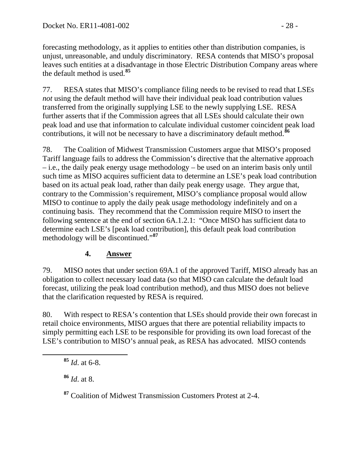forecasting methodology, as it applies to entities other than distribution companies, is unjust, unreasonable, and unduly discriminatory. RESA contends that MISO's proposal leaves such entities at a disadvantage in those Electric Distribution Company areas where the default method is used.**[85](#page-27-0)**

77. RESA states that MISO's compliance filing needs to be revised to read that LSEs *not* using the default method will have their individual peak load contribution values transferred from the originally supplying LSE to the newly supplying LSE. RESA further asserts that if the Commission agrees that all LSEs should calculate their own peak load and use that information to calculate individual customer coincident peak load contributions, it will not be necessary to have a discriminatory default method.**[86](#page-27-1)**

78. The Coalition of Midwest Transmission Customers argue that MISO's proposed Tariff language fails to address the Commission's directive that the alternative approach – i.e., the daily peak energy usage methodology – be used on an interim basis only until such time as MISO acquires sufficient data to determine an LSE's peak load contribution based on its actual peak load, rather than daily peak energy usage. They argue that, contrary to the Commission's requirement, MISO's compliance proposal would allow MISO to continue to apply the daily peak usage methodology indefinitely and on a continuing basis. They recommend that the Commission require MISO to insert the following sentence at the end of section 6A.1.2.1: "Once MISO has sufficient data to determine each LSE's [peak load contribution], this default peak load contribution methodology will be discontinued."**[87](#page-27-2)**

### **4. Answer**

79. MISO notes that under section 69A.1 of the approved Tariff, MISO already has an obligation to collect necessary load data (so that MISO can calculate the default load forecast, utilizing the peak load contribution method), and thus MISO does not believe that the clarification requested by RESA is required.

80. With respect to RESA's contention that LSEs should provide their own forecast in retail choice environments, MISO argues that there are potential reliability impacts to simply permitting each LSE to be responsible for providing its own load forecast of the LSE's contribution to MISO's annual peak, as RESA has advocated. MISO contends

<span id="page-27-1"></span>**<sup>86</sup>** *Id*. at 8.

<span id="page-27-2"></span>**<sup>87</sup>** Coalition of Midwest Transmission Customers Protest at 2-4.

<span id="page-27-0"></span>**<sup>85</sup>** *Id*. at 6-8.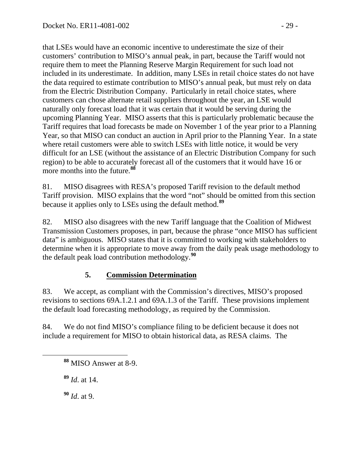that LSEs would have an economic incentive to underestimate the size of their customers' contribution to MISO's annual peak, in part, because the Tariff would not require them to meet the Planning Reserve Margin Requirement for such load not included in its underestimate. In addition, many LSEs in retail choice states do not have the data required to estimate contribution to MISO's annual peak, but must rely on data from the Electric Distribution Company. Particularly in retail choice states, where customers can chose alternate retail suppliers throughout the year, an LSE would naturally only forecast load that it was certain that it would be serving during the upcoming Planning Year. MISO asserts that this is particularly problematic because the Tariff requires that load forecasts be made on November 1 of the year prior to a Planning Year, so that MISO can conduct an auction in April prior to the Planning Year. In a state where retail customers were able to switch LSEs with little notice, it would be very difficult for an LSE (without the assistance of an Electric Distribution Company for such region) to be able to accurately forecast all of the customers that it would have 16 or more months into the future.**[88](#page-28-0)**

81. MISO disagrees with RESA's proposed Tariff revision to the default method Tariff provision. MISO explains that the word "not" should be omitted from this section because it applies only to LSEs using the default method.**[89](#page-28-1)**

82. MISO also disagrees with the new Tariff language that the Coalition of Midwest Transmission Customers proposes, in part, because the phrase "once MISO has sufficient data" is ambiguous. MISO states that it is committed to working with stakeholders to determine when it is appropriate to move away from the daily peak usage methodology to the default peak load contribution methodology.**[90](#page-28-2)**

### **5. Commission Determination**

83. We accept, as compliant with the Commission's directives, MISO's proposed revisions to sections 69A.1.2.1 and 69A.1.3 of the Tariff. These provisions implement the default load forecasting methodology, as required by the Commission.

<span id="page-28-0"></span>84. We do not find MISO's compliance filing to be deficient because it does not include a requirement for MISO to obtain historical data, as RESA claims. The

<span id="page-28-1"></span>**<sup>89</sup>** *Id*. at 14.

<span id="page-28-2"></span>**<sup>90</sup>** *Id*. at 9.

**<sup>88</sup>** MISO Answer at 8-9.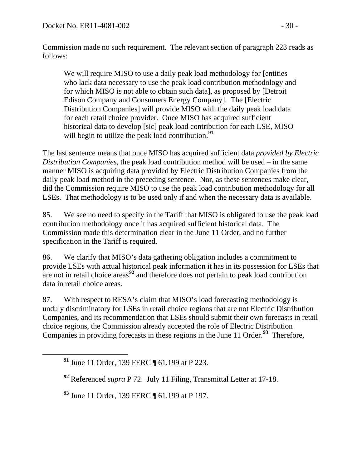Commission made no such requirement. The relevant section of paragraph 223 reads as follows:

We will require MISO to use a daily peak load methodology for [entities who lack data necessary to use the peak load contribution methodology and for which MISO is not able to obtain such data], as proposed by [Detroit Edison Company and Consumers Energy Company]. The [Electric Distribution Companies] will provide MISO with the daily peak load data for each retail choice provider. Once MISO has acquired sufficient historical data to develop [sic] peak load contribution for each LSE, MISO will begin to utilize the peak load contribution.<sup>[91](#page-29-0)</sup>

The last sentence means that once MISO has acquired sufficient data *provided by Electric Distribution Companies*, the peak load contribution method will be used – in the same manner MISO is acquiring data provided by Electric Distribution Companies from the daily peak load method in the preceding sentence. Nor, as these sentences make clear, did the Commission require MISO to use the peak load contribution methodology for all LSEs. That methodology is to be used only if and when the necessary data is available.

85. We see no need to specify in the Tariff that MISO is obligated to use the peak load contribution methodology once it has acquired sufficient historical data. The Commission made this determination clear in the June 11 Order, and no further specification in the Tariff is required.

86. We clarify that MISO's data gathering obligation includes a commitment to provide LSEs with actual historical peak information it has in its possession for LSEs that are not in retail choice areas**[92](#page-29-1)** and therefore does not pertain to peak load contribution data in retail choice areas.

87. With respect to RESA's claim that MISO's load forecasting methodology is unduly discriminatory for LSEs in retail choice regions that are not Electric Distribution Companies, and its recommendation that LSEs should submit their own forecasts in retail choice regions, the Commission already accepted the role of Electric Distribution Companies in providing forecasts in these regions in the June 11 Order.**[93](#page-29-2)** Therefore,

<span id="page-29-2"></span>**<sup>93</sup>** June 11 Order, 139 FERC ¶ 61,199 at P 197.

<span id="page-29-0"></span>**<sup>91</sup>** June 11 Order, 139 FERC ¶ 61,199 at P 223.

<span id="page-29-1"></span>**<sup>92</sup>** Referenced *supra* P 72. July 11 Filing, Transmittal Letter at 17-18.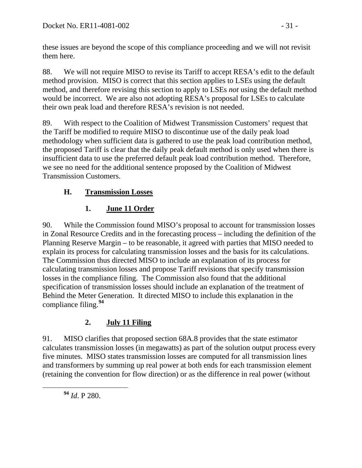these issues are beyond the scope of this compliance proceeding and we will not revisit them here.

88. We will not require MISO to revise its Tariff to accept RESA's edit to the default method provision. MISO is correct that this section applies to LSEs using the default method, and therefore revising this section to apply to LSEs *not* using the default method would be incorrect. We are also not adopting RESA's proposal for LSEs to calculate their own peak load and therefore RESA's revision is not needed.

89. With respect to the Coalition of Midwest Transmission Customers' request that the Tariff be modified to require MISO to discontinue use of the daily peak load methodology when sufficient data is gathered to use the peak load contribution method, the proposed Tariff is clear that the daily peak default method is only used when there is insufficient data to use the preferred default peak load contribution method. Therefore, we see no need for the additional sentence proposed by the Coalition of Midwest Transmission Customers.

## **H. Transmission Losses**

# **1. June 11 Order**

90. While the Commission found MISO's proposal to account for transmission losses in Zonal Resource Credits and in the forecasting process – including the definition of the Planning Reserve Margin – to be reasonable, it agreed with parties that MISO needed to explain its process for calculating transmission losses and the basis for its calculations. The Commission thus directed MISO to include an explanation of its process for calculating transmission losses and propose Tariff revisions that specify transmission losses in the compliance filing. The Commission also found that the additional specification of transmission losses should include an explanation of the treatment of Behind the Meter Generation. It directed MISO to include this explanation in the compliance filing.**[94](#page-30-0)**

## **2. July 11 Filing**

91. MISO clarifies that proposed section 68A.8 provides that the state estimator calculates transmission losses (in megawatts) as part of the solution output process every five minutes. MISO states transmission losses are computed for all transmission lines and transformers by summing up real power at both ends for each transmission element (retaining the convention for flow direction) or as the difference in real power (without

<span id="page-30-0"></span>**<sup>94</sup>** *Id*. P 280.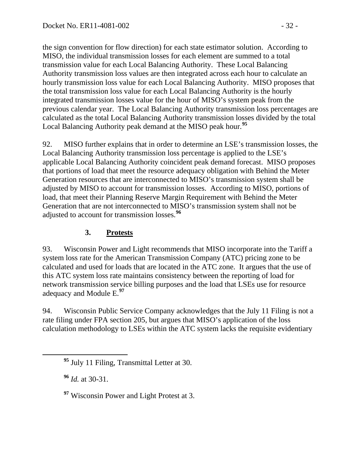the sign convention for flow direction) for each state estimator solution. According to MISO, the individual transmission losses for each element are summed to a total transmission value for each Local Balancing Authority. These Local Balancing Authority transmission loss values are then integrated across each hour to calculate an hourly transmission loss value for each Local Balancing Authority. MISO proposes that the total transmission loss value for each Local Balancing Authority is the hourly integrated transmission losses value for the hour of MISO's system peak from the previous calendar year. The Local Balancing Authority transmission loss percentages are calculated as the total Local Balancing Authority transmission losses divided by the total Local Balancing Authority peak demand at the MISO peak hour.**[95](#page-31-0)**

92. MISO further explains that in order to determine an LSE's transmission losses, the Local Balancing Authority transmission loss percentage is applied to the LSE's applicable Local Balancing Authority coincident peak demand forecast. MISO proposes that portions of load that meet the resource adequacy obligation with Behind the Meter Generation resources that are interconnected to MISO's transmission system shall be adjusted by MISO to account for transmission losses. According to MISO, portions of load, that meet their Planning Reserve Margin Requirement with Behind the Meter Generation that are not interconnected to MISO's transmission system shall not be adjusted to account for transmission losses.**[96](#page-31-1)**

## **3. Protests**

93. Wisconsin Power and Light recommends that MISO incorporate into the Tariff a system loss rate for the American Transmission Company (ATC) pricing zone to be calculated and used for loads that are located in the ATC zone. It argues that the use of this ATC system loss rate maintains consistency between the reporting of load for network transmission service billing purposes and the load that LSEs use for resource adequacy and Module E.**[97](#page-31-2)**

94. Wisconsin Public Service Company acknowledges that the July 11 Filing is not a rate filing under FPA section 205, but argues that MISO's application of the loss calculation methodology to LSEs within the ATC system lacks the requisite evidentiary

<span id="page-31-1"></span>**<sup>96</sup>** *Id.* at 30-31.

<span id="page-31-2"></span><sup>97</sup> Wisconsin Power and Light Protest at 3.

<span id="page-31-0"></span>**<sup>95</sup>** July 11 Filing, Transmittal Letter at 30.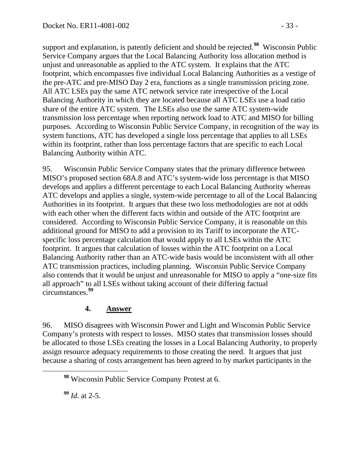support and explanation, is patently deficient and should be rejected.**[98](#page-32-0)** Wisconsin Public Service Company argues that the Local Balancing Authority loss allocation method is unjust and unreasonable as applied to the ATC system. It explains that the ATC footprint, which encompasses five individual Local Balancing Authorities as a vestige of the pre-ATC and pre-MISO Day 2 era, functions as a single transmission pricing zone. All ATC LSEs pay the same ATC network service rate irrespective of the Local Balancing Authority in which they are located because all ATC LSEs use a load ratio share of the entire ATC system. The LSEs also use the same ATC system-wide transmission loss percentage when reporting network load to ATC and MISO for billing purposes. According to Wisconsin Public Service Company, in recognition of the way its system functions, ATC has developed a single loss percentage that applies to all LSEs within its footprint, rather than loss percentage factors that are specific to each Local Balancing Authority within ATC.

95. Wisconsin Public Service Company states that the primary difference between MISO's proposed section 68A.8 and ATC's system-wide loss percentage is that MISO develops and applies a different percentage to each Local Balancing Authority whereas ATC develops and applies a single, system-wide percentage to all of the Local Balancing Authorities in its footprint. It argues that these two loss methodologies are not at odds with each other when the different facts within and outside of the ATC footprint are considered. According to Wisconsin Public Service Company, it is reasonable on this additional ground for MISO to add a provision to its Tariff to incorporate the ATCspecific loss percentage calculation that would apply to all LSEs within the ATC footprint. It argues that calculation of losses within the ATC footprint on a Local Balancing Authority rather than an ATC-wide basis would be inconsistent with all other ATC transmission practices, including planning. Wisconsin Public Service Company also contends that it would be unjust and unreasonable for MISO to apply a "one-size fits all approach" to all LSEs without taking account of their differing factual circumstances.**[99](#page-32-1)**

### **4. Answer**

96. MISO disagrees with Wisconsin Power and Light and Wisconsin Public Service Company's protests with respect to losses. MISO states that transmission losses should be allocated to those LSEs creating the losses in a Local Balancing Authority, to properly assign resource adequacy requirements to those creating the need. It argues that just because a sharing of costs arrangement has been agreed to by market participants in the

<span id="page-32-0"></span>**<sup>98</sup>** Wisconsin Public Service Company Protest at 6.

<span id="page-32-1"></span>**<sup>99</sup>** *Id*. at 2-5.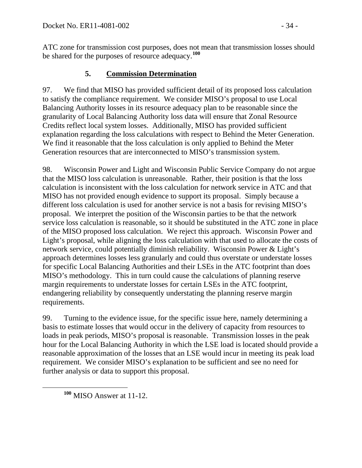ATC zone for transmission cost purposes, does not mean that transmission losses should be shared for the purposes of resource adequacy.**[100](#page-33-0)**

### **5. Commission Determination**

97. We find that MISO has provided sufficient detail of its proposed loss calculation to satisfy the compliance requirement. We consider MISO's proposal to use Local Balancing Authority losses in its resource adequacy plan to be reasonable since the granularity of Local Balancing Authority loss data will ensure that Zonal Resource Credits reflect local system losses. Additionally, MISO has provided sufficient explanation regarding the loss calculations with respect to Behind the Meter Generation. We find it reasonable that the loss calculation is only applied to Behind the Meter Generation resources that are interconnected to MISO's transmission system.

98. Wisconsin Power and Light and Wisconsin Public Service Company do not argue that the MISO loss calculation is unreasonable. Rather, their position is that the loss calculation is inconsistent with the loss calculation for network service in ATC and that MISO has not provided enough evidence to support its proposal. Simply because a different loss calculation is used for another service is not a basis for revising MISO's proposal. We interpret the position of the Wisconsin parties to be that the network service loss calculation is reasonable, so it should be substituted in the ATC zone in place of the MISO proposed loss calculation. We reject this approach. Wisconsin Power and Light's proposal, while aligning the loss calculation with that used to allocate the costs of network service, could potentially diminish reliability. Wisconsin Power & Light's approach determines losses less granularly and could thus overstate or understate losses for specific Local Balancing Authorities and their LSEs in the ATC footprint than does MISO's methodology. This in turn could cause the calculations of planning reserve margin requirements to understate losses for certain LSEs in the ATC footprint, endangering reliability by consequently understating the planning reserve margin requirements.

99. Turning to the evidence issue, for the specific issue here, namely determining a basis to estimate losses that would occur in the delivery of capacity from resources to loads in peak periods, MISO's proposal is reasonable. Transmission losses in the peak hour for the Local Balancing Authority in which the LSE load is located should provide a reasonable approximation of the losses that an LSE would incur in meeting its peak load requirement. We consider MISO's explanation to be sufficient and see no need for further analysis or data to support this proposal.

<span id="page-33-0"></span>**<sup>100</sup>** MISO Answer at 11-12.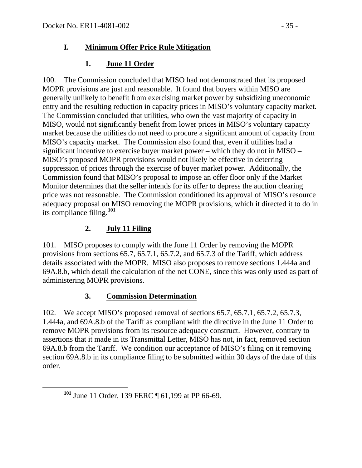## **I. Minimum Offer Price Rule Mitigation**

## **1. June 11 Order**

100. The Commission concluded that MISO had not demonstrated that its proposed MOPR provisions are just and reasonable. It found that buyers within MISO are generally unlikely to benefit from exercising market power by subsidizing uneconomic entry and the resulting reduction in capacity prices in MISO's voluntary capacity market. The Commission concluded that utilities, who own the vast majority of capacity in MISO, would not significantly benefit from lower prices in MISO's voluntary capacity market because the utilities do not need to procure a significant amount of capacity from MISO's capacity market. The Commission also found that, even if utilities had a significant incentive to exercise buyer market power – which they do not in MISO – MISO's proposed MOPR provisions would not likely be effective in deterring suppression of prices through the exercise of buyer market power. Additionally, the Commission found that MISO's proposal to impose an offer floor only if the Market Monitor determines that the seller intends for its offer to depress the auction clearing price was not reasonable. The Commission conditioned its approval of MISO's resource adequacy proposal on MISO removing the MOPR provisions, which it directed it to do in its compliance filing.**[101](#page-34-0)**

## **2. July 11 Filing**

101. MISO proposes to comply with the June 11 Order by removing the MOPR provisions from sections 65.7, 65.7.1, 65.7.2, and 65.7.3 of the Tariff, which address details associated with the MOPR. MISO also proposes to remove sections 1.444a and 69A.8.b, which detail the calculation of the net CONE, since this was only used as part of administering MOPR provisions.

# **3. Commission Determination**

102. We accept MISO's proposed removal of sections 65.7, 65.7.1, 65.7.2, 65.7.3, 1.444a, and 69A.8.b of the Tariff as compliant with the directive in the June 11 Order to remove MOPR provisions from its resource adequacy construct. However, contrary to assertions that it made in its Transmittal Letter, MISO has not, in fact, removed section 69A.8.b from the Tariff. We condition our acceptance of MISO's filing on it removing section 69A.8.b in its compliance filing to be submitted within 30 days of the date of this order.

<span id="page-34-0"></span>**<sup>101</sup>** June 11 Order, 139 FERC ¶ 61,199 at PP 66-69.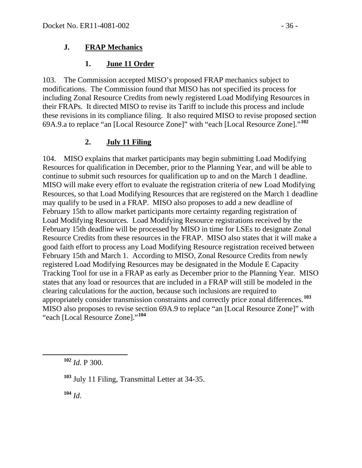#### **J. FRAP Mechanics**

#### **1. June 11 Order**

103. The Commission accepted MISO's proposed FRAP mechanics subject to modifications. The Commission found that MISO has not specified its process for including Zonal Resource Credits from newly registered Load Modifying Resources in their FRAPs. It directed MISO to revise its Tariff to include this process and include these revisions in its compliance filing. It also required MISO to revise proposed section 69A.9.a to replace "an [Local Resource Zone]" with "each [Local Resource Zone]."**[102](#page-35-0)**

### **2. July 11 Filing**

104. MISO explains that market participants may begin submitting Load Modifying Resources for qualification in December, prior to the Planning Year, and will be able to continue to submit such resources for qualification up to and on the March 1 deadline. MISO will make every effort to evaluate the registration criteria of new Load Modifying Resources, so that Load Modifying Resources that are registered on the March 1 deadline may qualify to be used in a FRAP. MISO also proposes to add a new deadline of February 15th to allow market participants more certainty regarding registration of Load Modifying Resources. Load Modifying Resource registrations received by the February 15th deadline will be processed by MISO in time for LSEs to designate Zonal Resource Credits from these resources in the FRAP. MISO also states that it will make a good faith effort to process any Load Modifying Resource registration received between February 15th and March 1. According to MISO, Zonal Resource Credits from newly registered Load Modifying Resources may be designated in the Module E Capacity Tracking Tool for use in a FRAP as early as December prior to the Planning Year*.* MISO states that any load or resources that are included in a FRAP will still be modeled in the clearing calculations for the auction, because such inclusions are required to appropriately consider transmission constraints and correctly price zonal differences.**[103](#page-35-1)** MISO also proposes to revise section 69A.9 to replace "an [Local Resource Zone]" with "each [Local Resource Zone]."**[104](#page-35-2)**

<span id="page-35-0"></span>**<sup>102</sup>** *Id.* P 300.

<span id="page-35-2"></span>**<sup>104</sup>** *Id*.

<span id="page-35-1"></span>**<sup>103</sup>** July 11 Filing, Transmittal Letter at 34-35.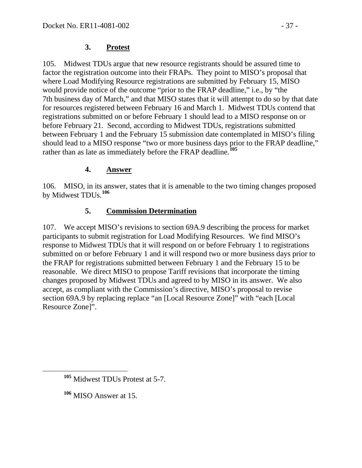#### **3. Protest**

105. Midwest TDUs argue that new resource registrants should be assured time to factor the registration outcome into their FRAPs. They point to MISO's proposal that where Load Modifying Resource registrations are submitted by February 15, MISO would provide notice of the outcome "prior to the FRAP deadline," i.e., by "the 7th business day of March," and that MISO states that it will attempt to do so by that date for resources registered between February 16 and March 1. Midwest TDUs contend that registrations submitted on or before February 1 should lead to a MISO response on or before February 21. Second, according to Midwest TDUs, registrations submitted between February 1 and the February 15 submission date contemplated in MISO's filing should lead to a MISO response "two or more business days prior to the FRAP deadline," rather than as late as immediately before the FRAP deadline.**[105](#page-36-0)**

### **4. Answer**

106. MISO, in its answer, states that it is amenable to the two timing changes proposed by Midwest TDUs.**[106](#page-36-1)**

### **5. Commission Determination**

107. We accept MISO's revisions to section 69A.9 describing the process for market participants to submit registration for Load Modifying Resources. We find MISO's response to Midwest TDUs that it will respond on or before February 1 to registrations submitted on or before February 1 and it will respond two or more business days prior to the FRAP for registrations submitted between February 1 and the February 15 to be reasonable. We direct MISO to propose Tariff revisions that incorporate the timing changes proposed by Midwest TDUs and agreed to by MISO in its answer. We also accept, as compliant with the Commission's directive, MISO's proposal to revise section 69A.9 by replacing replace "an [Local Resource Zone]" with "each [Local Resource Zone]".

<span id="page-36-1"></span>**<sup>106</sup>** MISO Answer at 15.

<span id="page-36-0"></span>**<sup>105</sup>** Midwest TDUs Protest at 5-7.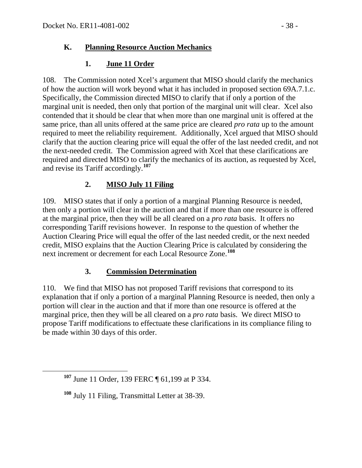### **K. Planning Resource Auction Mechanics**

## **1. June 11 Order**

108. The Commission noted Xcel's argument that MISO should clarify the mechanics of how the auction will work beyond what it has included in proposed section 69A.7.1.c. Specifically, the Commission directed MISO to clarify that if only a portion of the marginal unit is needed, then only that portion of the marginal unit will clear. Xcel also contended that it should be clear that when more than one marginal unit is offered at the same price, than all units offered at the same price are cleared *pro rata* up to the amount required to meet the reliability requirement. Additionally, Xcel argued that MISO should clarify that the auction clearing price will equal the offer of the last needed credit, and not the next-needed credit. The Commission agreed with Xcel that these clarifications are required and directed MISO to clarify the mechanics of its auction, as requested by Xcel, and revise its Tariff accordingly.**[107](#page-37-0)**

## **2. MISO July 11 Filing**

109. MISO states that if only a portion of a marginal Planning Resource is needed, then only a portion will clear in the auction and that if more than one resource is offered at the marginal price, then they will be all cleared on a *pro rata* basis. It offers no corresponding Tariff revisions however. In response to the question of whether the Auction Clearing Price will equal the offer of the last needed credit, or the next needed credit, MISO explains that the Auction Clearing Price is calculated by considering the next increment or decrement for each Local Resource Zone.**[108](#page-37-1)**

### **3. Commission Determination**

110. We find that MISO has not proposed Tariff revisions that correspond to its explanation that if only a portion of a marginal Planning Resource is needed, then only a portion will clear in the auction and that if more than one resource is offered at the marginal price, then they will be all cleared on a *pro rata* basis. We direct MISO to propose Tariff modifications to effectuate these clarifications in its compliance filing to be made within 30 days of this order.

<span id="page-37-0"></span>**<sup>107</sup>** June 11 Order, 139 FERC ¶ 61,199 at P 334.

<span id="page-37-1"></span>**<sup>108</sup>** July 11 Filing, Transmittal Letter at 38-39.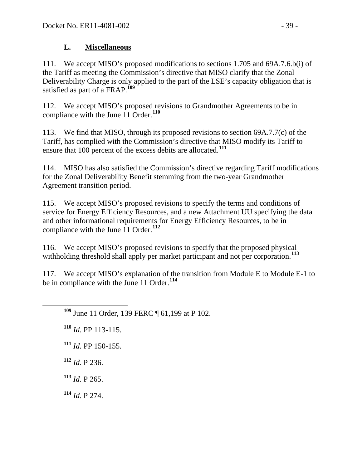### **L. Miscellaneous**

111. We accept MISO's proposed modifications to sections 1.705 and 69A.7.6.b(i) of the Tariff as meeting the Commission's directive that MISO clarify that the Zonal Deliverability Charge is only applied to the part of the LSE's capacity obligation that is satisfied as part of a FRAP.**[109](#page-38-0)**

112. We accept MISO's proposed revisions to Grandmother Agreements to be in compliance with the June 11 Order.**[110](#page-38-1)**

113. We find that MISO, through its proposed revisions to section 69A.7.7(c) of the Tariff, has complied with the Commission's directive that MISO modify its Tariff to ensure that 100 percent of the excess debits are allocated.**[111](#page-38-2)**

114. MISO has also satisfied the Commission's directive regarding Tariff modifications for the Zonal Deliverability Benefit stemming from the two-year Grandmother Agreement transition period.

115. We accept MISO's proposed revisions to specify the terms and conditions of service for Energy Efficiency Resources, and a new Attachment UU specifying the data and other informational requirements for Energy Efficiency Resources, to be in compliance with the June 11 Order.**[112](#page-38-3)**

116. We accept MISO's proposed revisions to specify that the proposed physical withholding threshold shall apply per market participant and not per corporation.**[113](#page-38-4)**

<span id="page-38-0"></span>117. We accept MISO's explanation of the transition from Module E to Module E-1 to be in compliance with the June 11 Order.**[114](#page-38-5)**

**<sup>109</sup>** June 11 Order, 139 FERC ¶ 61,199 at P 102.

<span id="page-38-1"></span>**<sup>110</sup>** *Id*. PP 113-115.

<span id="page-38-2"></span>**<sup>111</sup>** *Id.* PP 150-155.

<span id="page-38-3"></span>**<sup>112</sup>** *Id*. P 236.

<span id="page-38-4"></span>**<sup>113</sup>** *Id.* P 265.

<span id="page-38-5"></span>**<sup>114</sup>** *Id*. P 274.